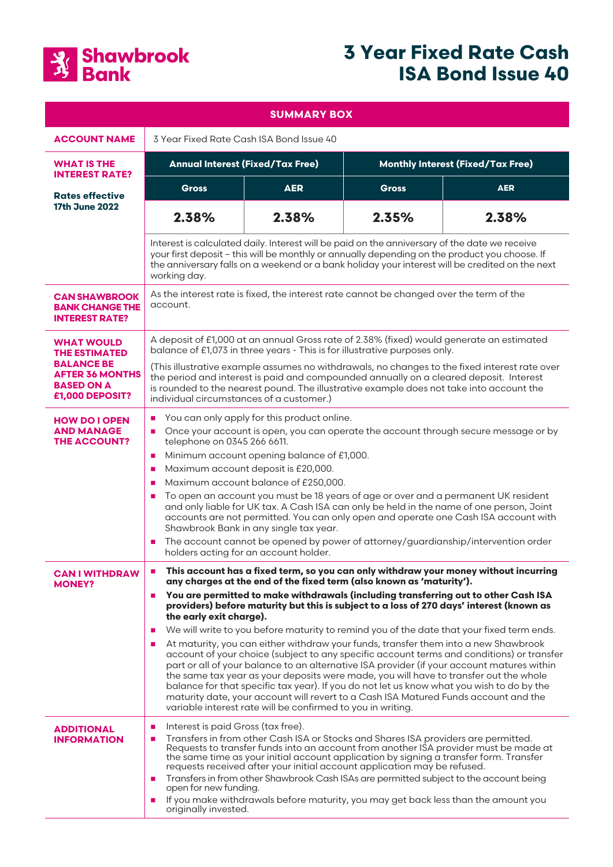

# **3 Year Fixed Rate Cash ISA Bond Issue 40**

| <b>SUMMARY BOX</b>                                                                  |                                                                                                                                                                                                                                                                                                                                                                                                                                                                                                                                                                                                                                                                                                                                                                                                                                                                                                                                                                                                                                                                                                                           |            |                                          |            |
|-------------------------------------------------------------------------------------|---------------------------------------------------------------------------------------------------------------------------------------------------------------------------------------------------------------------------------------------------------------------------------------------------------------------------------------------------------------------------------------------------------------------------------------------------------------------------------------------------------------------------------------------------------------------------------------------------------------------------------------------------------------------------------------------------------------------------------------------------------------------------------------------------------------------------------------------------------------------------------------------------------------------------------------------------------------------------------------------------------------------------------------------------------------------------------------------------------------------------|------------|------------------------------------------|------------|
| <b>ACCOUNT NAME</b>                                                                 | 3 Year Fixed Rate Cash ISA Bond Issue 40                                                                                                                                                                                                                                                                                                                                                                                                                                                                                                                                                                                                                                                                                                                                                                                                                                                                                                                                                                                                                                                                                  |            |                                          |            |
| <b>WHAT IS THE</b><br><b>INTEREST RATE?</b>                                         | <b>Annual Interest (Fixed/Tax Free)</b>                                                                                                                                                                                                                                                                                                                                                                                                                                                                                                                                                                                                                                                                                                                                                                                                                                                                                                                                                                                                                                                                                   |            | <b>Monthly Interest (Fixed/Tax Free)</b> |            |
| <b>Rates effective</b><br><b>17th June 2022</b>                                     | <b>Gross</b>                                                                                                                                                                                                                                                                                                                                                                                                                                                                                                                                                                                                                                                                                                                                                                                                                                                                                                                                                                                                                                                                                                              | <b>AER</b> | <b>Gross</b>                             | <b>AER</b> |
|                                                                                     | 2.38%                                                                                                                                                                                                                                                                                                                                                                                                                                                                                                                                                                                                                                                                                                                                                                                                                                                                                                                                                                                                                                                                                                                     | 2.38%      | 2.35%                                    | 2.38%      |
|                                                                                     | Interest is calculated daily. Interest will be paid on the anniversary of the date we receive<br>your first deposit - this will be monthly or annually depending on the product you choose. If<br>the anniversary falls on a weekend or a bank holiday your interest will be credited on the next<br>working day.                                                                                                                                                                                                                                                                                                                                                                                                                                                                                                                                                                                                                                                                                                                                                                                                         |            |                                          |            |
| <b>CAN SHAWBROOK</b><br><b>BANK CHANGE THE</b><br><b>INTEREST RATE?</b>             | As the interest rate is fixed, the interest rate cannot be changed over the term of the<br>account.                                                                                                                                                                                                                                                                                                                                                                                                                                                                                                                                                                                                                                                                                                                                                                                                                                                                                                                                                                                                                       |            |                                          |            |
| <b>WHAT WOULD</b><br><b>THE ESTIMATED</b>                                           | A deposit of £1,000 at an annual Gross rate of 2.38% (fixed) would generate an estimated<br>balance of £1,073 in three years - This is for illustrative purposes only.<br>(This illustrative example assumes no withdrawals, no changes to the fixed interest rate over<br>the period and interest is paid and compounded annually on a cleared deposit. Interest<br>is rounded to the nearest pound. The illustrative example does not take into account the<br>individual circumstances of a customer.)                                                                                                                                                                                                                                                                                                                                                                                                                                                                                                                                                                                                                 |            |                                          |            |
| <b>BALANCE BE</b><br><b>AFTER 36 MONTHS</b><br><b>BASED ON A</b><br>£1,000 DEPOSIT? |                                                                                                                                                                                                                                                                                                                                                                                                                                                                                                                                                                                                                                                                                                                                                                                                                                                                                                                                                                                                                                                                                                                           |            |                                          |            |
| <b>HOW DO I OPEN</b><br><b>AND MANAGE</b><br><b>THE ACCOUNT?</b>                    | You can only apply for this product online.<br>п<br>Once your account is open, you can operate the account through secure message or by<br>п<br>telephone on 0345 266 6611.<br>Minimum account opening balance of £1,000.<br>п<br>Maximum account deposit is £20,000.<br>п<br>Maximum account balance of £250,000.<br>п<br>To open an account you must be 18 years of age or over and a permanent UK resident<br>п<br>and only liable for UK tax. A Cash ISA can only be held in the name of one person, Joint<br>accounts are not permitted. You can only open and operate one Cash ISA account with<br>Shawbrook Bank in any single tax year.<br>The account cannot be opened by power of attorney/guardianship/intervention order<br>п<br>holders acting for an account holder.                                                                                                                                                                                                                                                                                                                                        |            |                                          |            |
| <b>CAN I WITHDRAW</b><br><b>MONEY?</b>                                              | This account has a fixed term, so you can only withdraw your money without incurring<br>п<br>any charges at the end of the fixed term (also known as 'maturity').<br>You are permitted to make withdrawals (including transferring out to other Cash ISA<br>п<br>providers) before maturity but this is subject to a loss of 270 days' interest (known as<br>the early exit charge).<br>We will write to you before maturity to remind you of the date that your fixed term ends.<br>п<br>At maturity, you can either withdraw your funds, transfer them into a new Shawbrook<br>п<br>account of your choice (subject to any specific account terms and conditions) or transfer<br>part or all of your balance to an alternative ISA provider (if your account matures within<br>the same tax year as your deposits were made, you will have to transfer out the whole<br>balance for that specific tax year). If you do not let us know what you wish to do by the<br>maturity date, your account will revert to a Cash ISA Matured Funds account and the<br>variable interest rate will be confirmed to you in writing. |            |                                          |            |
| <b>ADDITIONAL</b><br><b>INFORMATION</b>                                             | Interest is paid Gross (tax free).<br>п<br>Transfers in from other Cash ISA or Stocks and Shares ISA providers are permitted.<br>п<br>Requests to transfer funds into an account from another ISA provider must be made at<br>the same time as your initial account application by signing a transfer form. Transfer<br>requests received after your initial account application may be refused.<br>Transfers in from other Shawbrook Cash ISAs are permitted subject to the account being<br>п<br>open for new funding.<br>If you make withdrawals before maturity, you may get back less than the amount you<br>п<br>originally invested.                                                                                                                                                                                                                                                                                                                                                                                                                                                                               |            |                                          |            |